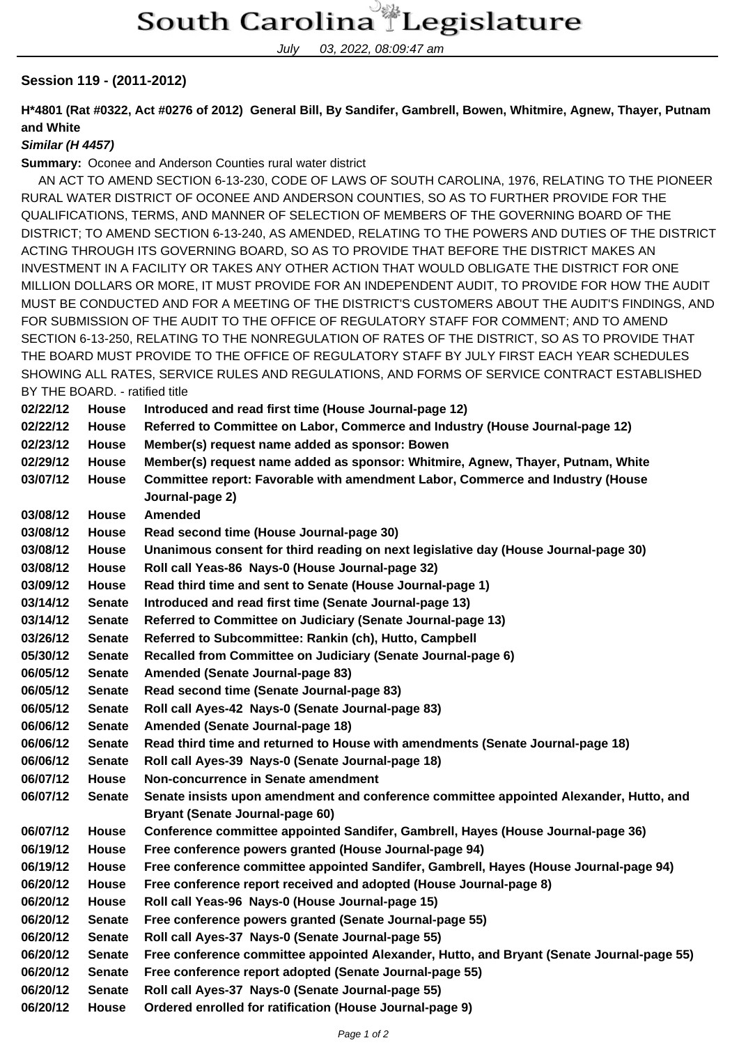July 03, 2022, 08:09:47 am

## **Session 119 - (2011-2012)**

## **H\*4801 (Rat #0322, Act #0276 of 2012) General Bill, By Sandifer, Gambrell, Bowen, Whitmire, Agnew, Thayer, Putnam and White**

## **Similar (H 4457)**

**Summary:** Oconee and Anderson Counties rural water district

 AN ACT TO AMEND SECTION 6-13-230, CODE OF LAWS OF SOUTH CAROLINA, 1976, RELATING TO THE PIONEER RURAL WATER DISTRICT OF OCONEE AND ANDERSON COUNTIES, SO AS TO FURTHER PROVIDE FOR THE QUALIFICATIONS, TERMS, AND MANNER OF SELECTION OF MEMBERS OF THE GOVERNING BOARD OF THE DISTRICT; TO AMEND SECTION 6-13-240, AS AMENDED, RELATING TO THE POWERS AND DUTIES OF THE DISTRICT ACTING THROUGH ITS GOVERNING BOARD, SO AS TO PROVIDE THAT BEFORE THE DISTRICT MAKES AN INVESTMENT IN A FACILITY OR TAKES ANY OTHER ACTION THAT WOULD OBLIGATE THE DISTRICT FOR ONE MILLION DOLLARS OR MORE, IT MUST PROVIDE FOR AN INDEPENDENT AUDIT, TO PROVIDE FOR HOW THE AUDIT MUST BE CONDUCTED AND FOR A MEETING OF THE DISTRICT'S CUSTOMERS ABOUT THE AUDIT'S FINDINGS, AND FOR SUBMISSION OF THE AUDIT TO THE OFFICE OF REGULATORY STAFF FOR COMMENT; AND TO AMEND SECTION 6-13-250, RELATING TO THE NONREGULATION OF RATES OF THE DISTRICT, SO AS TO PROVIDE THAT THE BOARD MUST PROVIDE TO THE OFFICE OF REGULATORY STAFF BY JULY FIRST EACH YEAR SCHEDULES SHOWING ALL RATES, SERVICE RULES AND REGULATIONS, AND FORMS OF SERVICE CONTRACT ESTABLISHED BY THE BOARD. - ratified title

| 02/22/12 | House         | Introduced and read first time (House Journal-page 12)                                    |
|----------|---------------|-------------------------------------------------------------------------------------------|
| 02/22/12 | House         | Referred to Committee on Labor, Commerce and Industry (House Journal-page 12)             |
| 02/23/12 | House         | Member(s) request name added as sponsor: Bowen                                            |
| 02/29/12 | House         | Member(s) request name added as sponsor: Whitmire, Agnew, Thayer, Putnam, White           |
| 03/07/12 | House         | Committee report: Favorable with amendment Labor, Commerce and Industry (House            |
|          |               | Journal-page 2)                                                                           |
| 03/08/12 | House         | <b>Amended</b>                                                                            |
| 03/08/12 | <b>House</b>  | Read second time (House Journal-page 30)                                                  |
| 03/08/12 | <b>House</b>  | Unanimous consent for third reading on next legislative day (House Journal-page 30)       |
| 03/08/12 | House         | Roll call Yeas-86 Nays-0 (House Journal-page 32)                                          |
| 03/09/12 | House         | Read third time and sent to Senate (House Journal-page 1)                                 |
| 03/14/12 | <b>Senate</b> | Introduced and read first time (Senate Journal-page 13)                                   |
| 03/14/12 | <b>Senate</b> | Referred to Committee on Judiciary (Senate Journal-page 13)                               |
| 03/26/12 | <b>Senate</b> | Referred to Subcommittee: Rankin (ch), Hutto, Campbell                                    |
| 05/30/12 | <b>Senate</b> | Recalled from Committee on Judiciary (Senate Journal-page 6)                              |
| 06/05/12 | <b>Senate</b> | Amended (Senate Journal-page 83)                                                          |
| 06/05/12 | <b>Senate</b> | Read second time (Senate Journal-page 83)                                                 |
| 06/05/12 | <b>Senate</b> | Roll call Ayes-42 Nays-0 (Senate Journal-page 83)                                         |
| 06/06/12 | <b>Senate</b> | Amended (Senate Journal-page 18)                                                          |
| 06/06/12 | <b>Senate</b> | Read third time and returned to House with amendments (Senate Journal-page 18)            |
| 06/06/12 | <b>Senate</b> | Roll call Ayes-39 Nays-0 (Senate Journal-page 18)                                         |
| 06/07/12 | <b>House</b>  | Non-concurrence in Senate amendment                                                       |
| 06/07/12 | <b>Senate</b> | Senate insists upon amendment and conference committee appointed Alexander, Hutto, and    |
|          |               | Bryant (Senate Journal-page 60)                                                           |
| 06/07/12 | House         | Conference committee appointed Sandifer, Gambrell, Hayes (House Journal-page 36)          |
| 06/19/12 | House         | Free conference powers granted (House Journal-page 94)                                    |
| 06/19/12 | House         | Free conference committee appointed Sandifer, Gambrell, Hayes (House Journal-page 94)     |
| 06/20/12 | House         | Free conference report received and adopted (House Journal-page 8)                        |
| 06/20/12 | House         | Roll call Yeas-96 Nays-0 (House Journal-page 15)                                          |
| 06/20/12 | <b>Senate</b> | Free conference powers granted (Senate Journal-page 55)                                   |
| 06/20/12 | <b>Senate</b> | Roll call Ayes-37 Nays-0 (Senate Journal-page 55)                                         |
| 06/20/12 | <b>Senate</b> | Free conference committee appointed Alexander, Hutto, and Bryant (Senate Journal-page 55) |
| 06/20/12 | <b>Senate</b> | Free conference report adopted (Senate Journal-page 55)                                   |
| 06/20/12 | <b>Senate</b> | Roll call Ayes-37 Nays-0 (Senate Journal-page 55)                                         |
| 06/20/12 | <b>House</b>  | Ordered enrolled for ratification (House Journal-page 9)                                  |